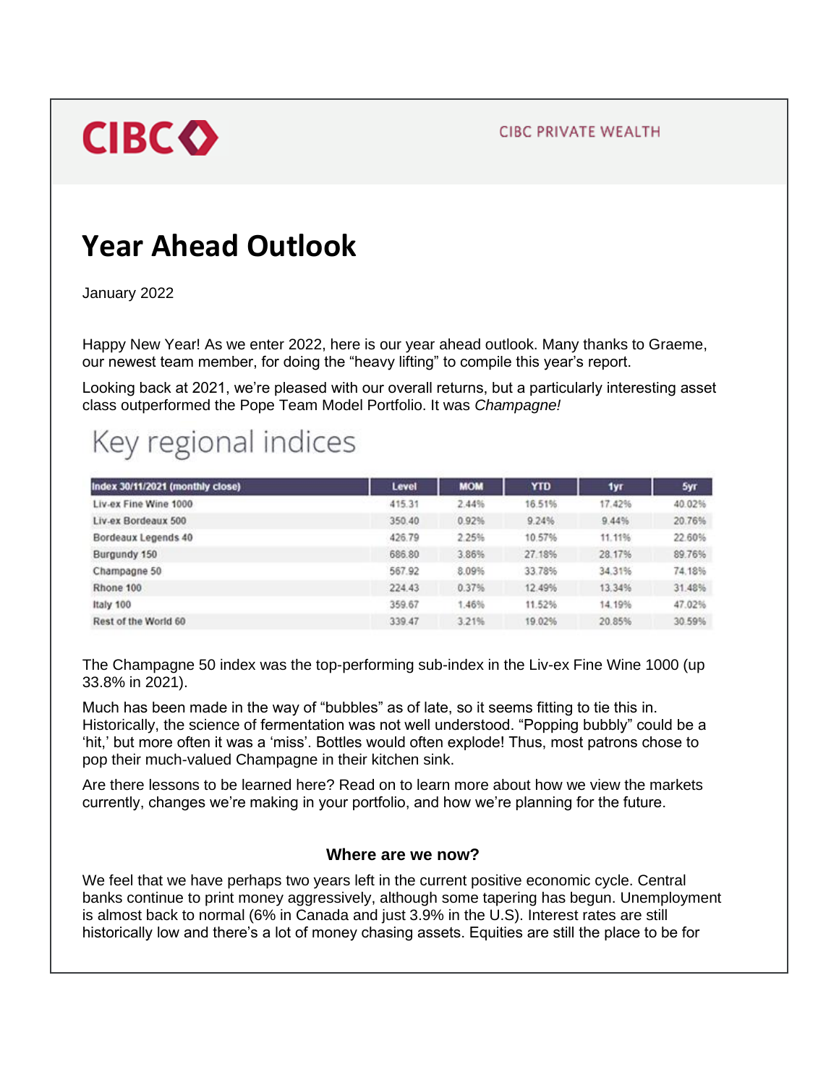**CIBC PRIVATE WEALTH** 



# **Year Ahead Outlook**

January 2022

Happy New Year! As we enter 2022, here is our year ahead outlook. Many thanks to Graeme, our newest team member, for doing the "heavy lifting" to compile this year's report.

Looking back at 2021, we're pleased with our overall returns, but a particularly interesting asset class outperformed the Pope Team Model Portfolio. It was *Champagne!* 

# Key regional indices

| Index 30/11/2021 (monthly close) | Level  | <b>MOM</b> | <b>YTD</b> | 1yr    | 5yr    |
|----------------------------------|--------|------------|------------|--------|--------|
| Liv-ex Fine Wine 1000            | 415.31 | 2.44%      | 16.51%     | 17.42% | 40.02% |
| Liv-ex Bordeaux 500              | 350.40 | 0.92%      | 9.24%      | 9.44%  | 20.76% |
| Bordeaux Legends 40              | 426.79 | 2.25%      | 10.57%     | 11.11% | 22.60% |
| Burgundy 150                     | 686.80 | 3.86%      | 27.18%     | 28.17% | 89.76% |
| Champagne 50                     | 567.92 | 8.09%      | 33.78%     | 34.31% | 74.18% |
| Rhone 100                        | 224.43 | 0.37%      | 12.49%     | 13.34% | 31.48% |
| Italy 100                        | 359.67 | 1.46%      | 11.52%     | 14.19% | 47.02% |
| Rest of the World 60             | 339.47 | 3.21%      | 19.02%     | 20.85% | 30.59% |

The Champagne 50 index was the top-performing sub-index in the Liv-ex Fine Wine 1000 (up 33.8% in 2021).

Much has been made in the way of "bubbles" as of late, so it seems fitting to tie this in. Historically, the science of fermentation was not well understood. "Popping bubbly" could be a 'hit,' but more often it was a 'miss'. Bottles would often explode! Thus, most patrons chose to pop their much-valued Champagne in their kitchen sink.

Are there lessons to be learned here? Read on to learn more about how we view the markets currently, changes we're making in your portfolio, and how we're planning for the future.

### **Where are we now?**

We feel that we have perhaps two years left in the current positive economic cycle. Central banks continue to print money aggressively, although some tapering has begun. Unemployment is almost back to normal (6% in Canada and just 3.9% in the U.S). Interest rates are still historically low and there's a lot of money chasing assets. Equities are still the place to be for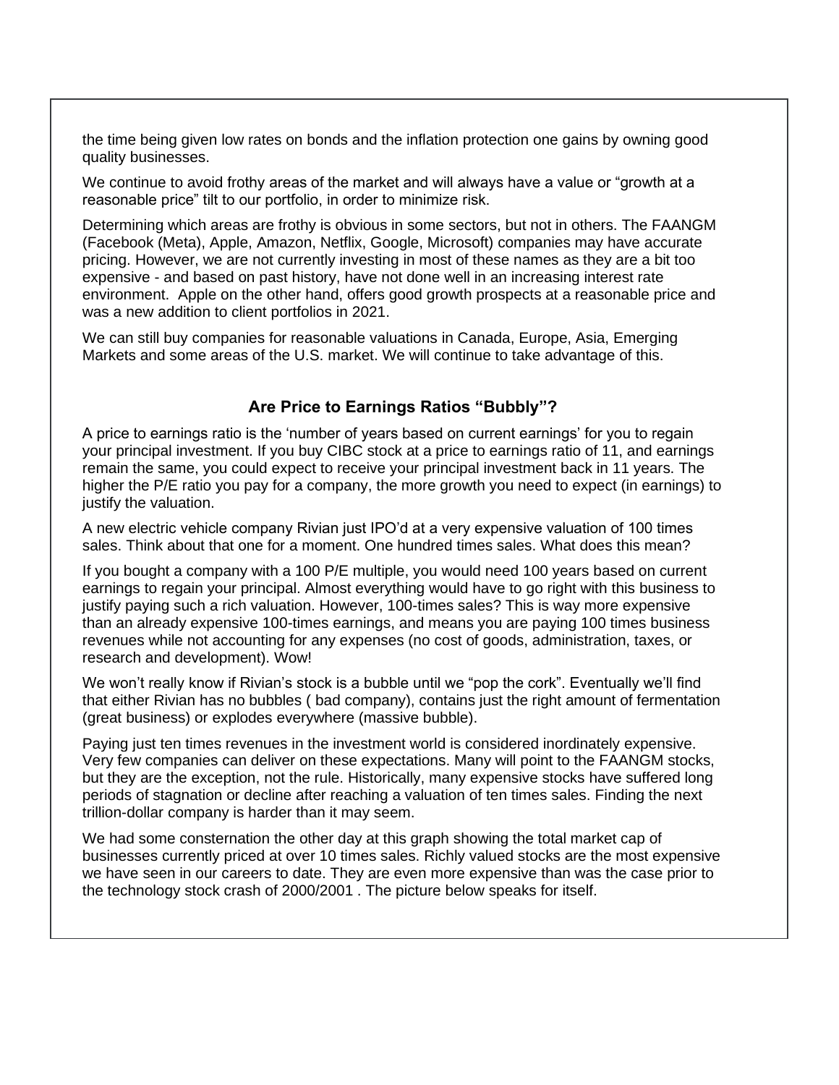the time being given low rates on bonds and the inflation protection one gains by owning good quality businesses.

We continue to avoid frothy areas of the market and will always have a value or "growth at a reasonable price" tilt to our portfolio, in order to minimize risk.

Determining which areas are frothy is obvious in some sectors, but not in others. The FAANGM (Facebook (Meta), Apple, Amazon, Netflix, Google, Microsoft) companies may have accurate pricing. However, we are not currently investing in most of these names as they are a bit too expensive - and based on past history, have not done well in an increasing interest rate environment. Apple on the other hand, offers good growth prospects at a reasonable price and was a new addition to client portfolios in 2021.

We can still buy companies for reasonable valuations in Canada, Europe, Asia, Emerging Markets and some areas of the U.S. market. We will continue to take advantage of this.

## **Are Price to Earnings Ratios "Bubbly"?**

A price to earnings ratio is the 'number of years based on current earnings' for you to regain your principal investment. If you buy CIBC stock at a price to earnings ratio of 11, and earnings remain the same, you could expect to receive your principal investment back in 11 years. The higher the P/E ratio you pay for a company, the more growth you need to expect (in earnings) to justify the valuation.

A new electric vehicle company Rivian just IPO'd at a very expensive valuation of 100 times sales. Think about that one for a moment. One hundred times sales. What does this mean?

If you bought a company with a 100 P/E multiple, you would need 100 years based on current earnings to regain your principal. Almost everything would have to go right with this business to justify paying such a rich valuation. However, 100-times sales? This is way more expensive than an already expensive 100-times earnings, and means you are paying 100 times business revenues while not accounting for any expenses (no cost of goods, administration, taxes, or research and development). Wow!

We won't really know if Rivian's stock is a bubble until we "pop the cork". Eventually we'll find that either Rivian has no bubbles ( bad company), contains just the right amount of fermentation (great business) or explodes everywhere (massive bubble).

Paying just ten times revenues in the investment world is considered inordinately expensive. Very few companies can deliver on these expectations. Many will point to the FAANGM stocks, but they are the exception, not the rule. Historically, many expensive stocks have suffered long periods of stagnation or decline after reaching a valuation of ten times sales. Finding the next trillion-dollar company is harder than it may seem.

We had some consternation the other day at this graph showing the total market cap of businesses currently priced at over 10 times sales. Richly valued stocks are the most expensive we have seen in our careers to date. They are even more expensive than was the case prior to the technology stock crash of 2000/2001 . The picture below speaks for itself.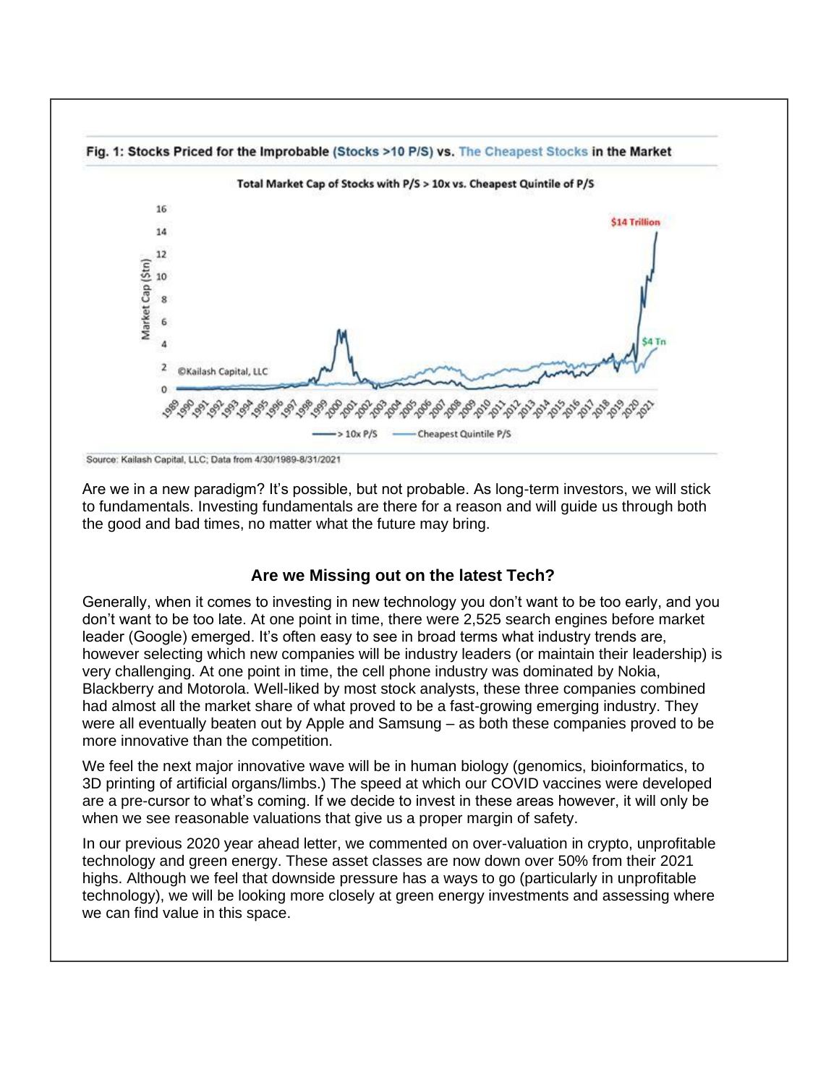

Source: Kailash Capital, LLC; Data from 4/30/1989-8/31/2021

Are we in a new paradigm? It's possible, but not probable. As long-term investors, we will stick to fundamentals. Investing fundamentals are there for a reason and will guide us through both the good and bad times, no matter what the future may bring.

### **Are we Missing out on the latest Tech?**

Generally, when it comes to investing in new technology you don't want to be too early, and you don't want to be too late. At one point in time, there were 2,525 search engines before market leader (Google) emerged. It's often easy to see in broad terms what industry trends are, however selecting which new companies will be industry leaders (or maintain their leadership) is very challenging. At one point in time, the cell phone industry was dominated by Nokia, Blackberry and Motorola. Well-liked by most stock analysts, these three companies combined had almost all the market share of what proved to be a fast-growing emerging industry. They were all eventually beaten out by Apple and Samsung – as both these companies proved to be more innovative than the competition.

We feel the next major innovative wave will be in human biology (genomics, bioinformatics, to 3D printing of artificial organs/limbs.) The speed at which our COVID vaccines were developed are a pre-cursor to what's coming. If we decide to invest in these areas however, it will only be when we see reasonable valuations that give us a proper margin of safety.

In our previous 2020 year ahead letter, we commented on over-valuation in crypto, unprofitable technology and green energy. These asset classes are now down over 50% from their 2021 highs. Although we feel that downside pressure has a ways to go (particularly in unprofitable technology), we will be looking more closely at green energy investments and assessing where we can find value in this space.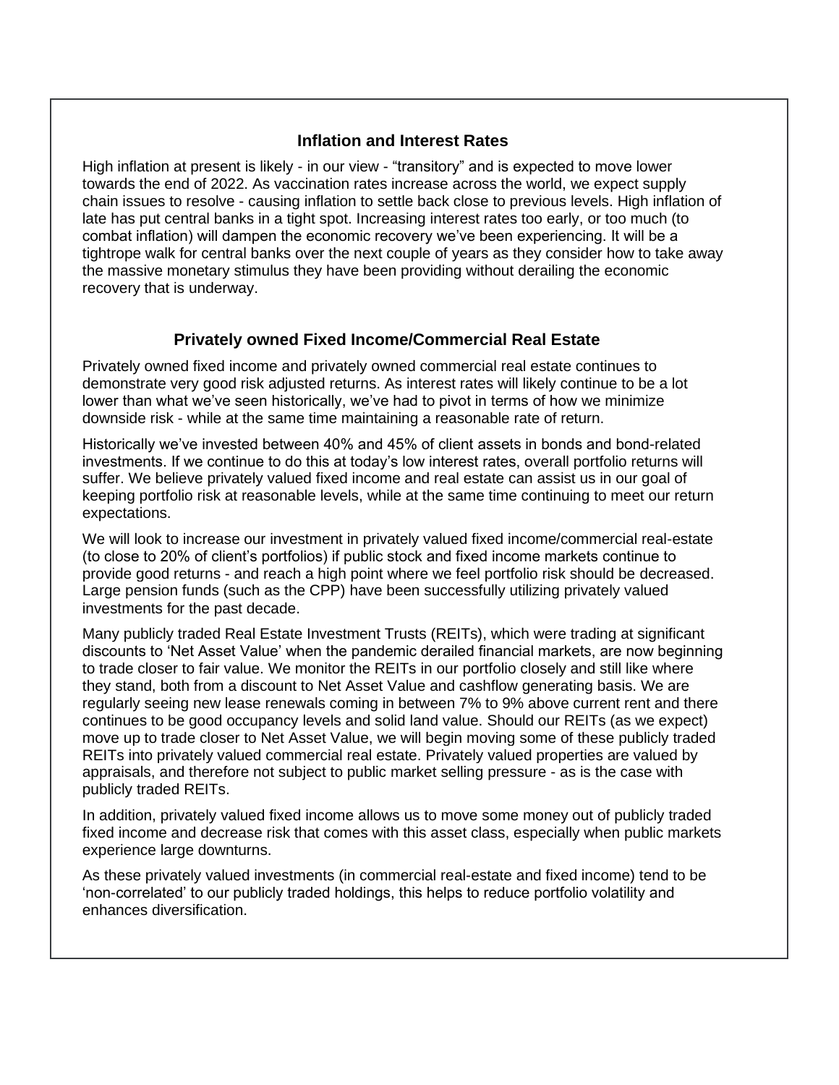## **Inflation and Interest Rates**

High inflation at present is likely - in our view - "transitory" and is expected to move lower towards the end of 2022. As vaccination rates increase across the world, we expect supply chain issues to resolve - causing inflation to settle back close to previous levels. High inflation of late has put central banks in a tight spot. Increasing interest rates too early, or too much (to combat inflation) will dampen the economic recovery we've been experiencing. It will be a tightrope walk for central banks over the next couple of years as they consider how to take away the massive monetary stimulus they have been providing without derailing the economic recovery that is underway.

## **Privately owned Fixed Income/Commercial Real Estate**

Privately owned fixed income and privately owned commercial real estate continues to demonstrate very good risk adjusted returns. As interest rates will likely continue to be a lot lower than what we've seen historically, we've had to pivot in terms of how we minimize downside risk - while at the same time maintaining a reasonable rate of return.

Historically we've invested between 40% and 45% of client assets in bonds and bond-related investments. If we continue to do this at today's low interest rates, overall portfolio returns will suffer. We believe privately valued fixed income and real estate can assist us in our goal of keeping portfolio risk at reasonable levels, while at the same time continuing to meet our return expectations.

We will look to increase our investment in privately valued fixed income/commercial real-estate (to close to 20% of client's portfolios) if public stock and fixed income markets continue to provide good returns - and reach a high point where we feel portfolio risk should be decreased. Large pension funds (such as the CPP) have been successfully utilizing privately valued investments for the past decade.

Many publicly traded Real Estate Investment Trusts (REITs), which were trading at significant discounts to 'Net Asset Value' when the pandemic derailed financial markets, are now beginning to trade closer to fair value. We monitor the REITs in our portfolio closely and still like where they stand, both from a discount to Net Asset Value and cashflow generating basis. We are regularly seeing new lease renewals coming in between 7% to 9% above current rent and there continues to be good occupancy levels and solid land value. Should our REITs (as we expect) move up to trade closer to Net Asset Value, we will begin moving some of these publicly traded REITs into privately valued commercial real estate. Privately valued properties are valued by appraisals, and therefore not subject to public market selling pressure - as is the case with publicly traded REITs.

In addition, privately valued fixed income allows us to move some money out of publicly traded fixed income and decrease risk that comes with this asset class, especially when public markets experience large downturns.

As these privately valued investments (in commercial real-estate and fixed income) tend to be 'non-correlated' to our publicly traded holdings, this helps to reduce portfolio volatility and enhances diversification.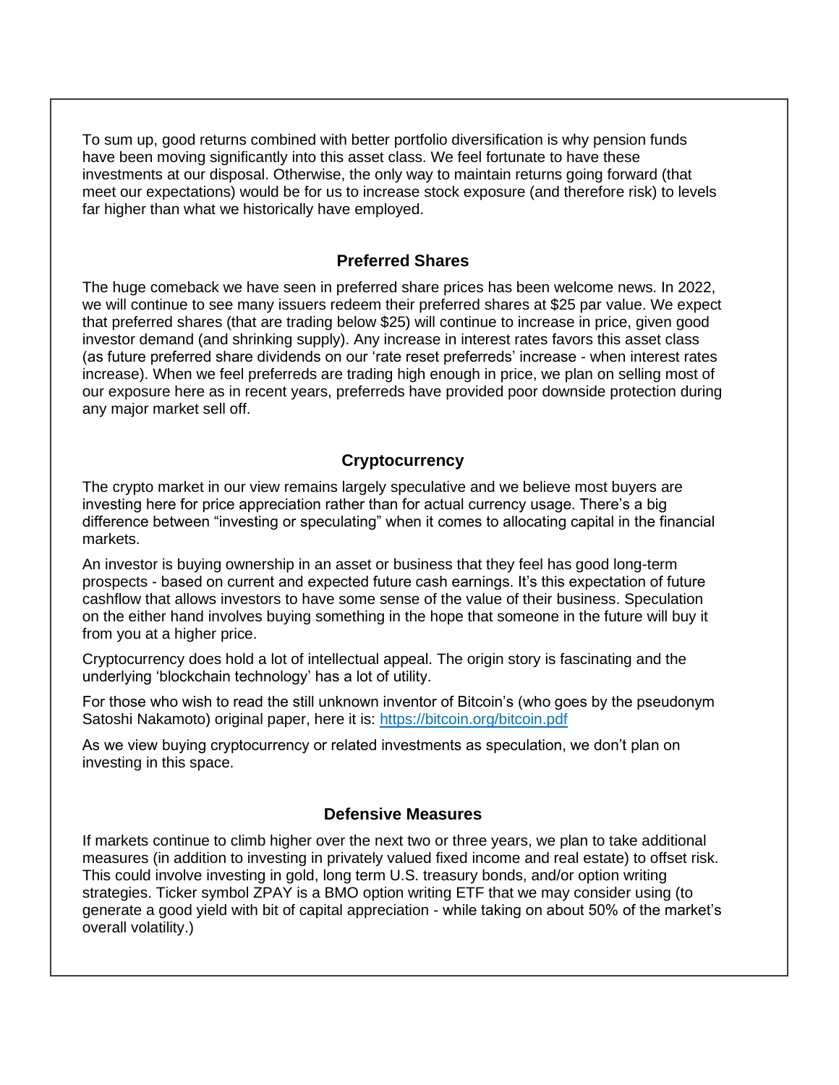To sum up, good returns combined with better portfolio diversification is why pension funds have been moving significantly into this asset class. We feel fortunate to have these investments at our disposal. Otherwise, the only way to maintain returns going forward (that meet our expectations) would be for us to increase stock exposure (and therefore risk) to levels far higher than what we historically have employed.

## **Preferred Shares**

The huge comeback we have seen in preferred share prices has been welcome news. In 2022, we will continue to see many issuers redeem their preferred shares at \$25 par value. We expect that preferred shares (that are trading below \$25) will continue to increase in price, given good investor demand (and shrinking supply). Any increase in interest rates favors this asset class (as future preferred share dividends on our 'rate reset preferreds' increase - when interest rates increase). When we feel preferreds are trading high enough in price, we plan on selling most of our exposure here as in recent years, preferreds have provided poor downside protection during any major market sell off.

### **Cryptocurrency**

The crypto market in our view remains largely speculative and we believe most buyers are investing here for price appreciation rather than for actual currency usage. There's a big difference between "investing or speculating" when it comes to allocating capital in the financial markets.

An investor is buying ownership in an asset or business that they feel has good long-term prospects - based on current and expected future cash earnings. It's this expectation of future cashflow that allows investors to have some sense of the value of their business. Speculation on the either hand involves buying something in the hope that someone in the future will buy it from you at a higher price.

Cryptocurrency does hold a lot of intellectual appeal. The origin story is fascinating and the underlying 'blockchain technology' has a lot of utility.

For those who wish to read the still unknown inventor of Bitcoin's (who goes by the pseudonym Satoshi Nakamoto) original paper, here it is:<https://bitcoin.org/bitcoin.pdf>

As we view buying cryptocurrency or related investments as speculation, we don't plan on investing in this space.

### **Defensive Measures**

If markets continue to climb higher over the next two or three years, we plan to take additional measures (in addition to investing in privately valued fixed income and real estate) to offset risk. This could involve investing in gold, long term U.S. treasury bonds, and/or option writing strategies. Ticker symbol ZPAY is a BMO option writing ETF that we may consider using (to generate a good yield with bit of capital appreciation - while taking on about 50% of the market's overall volatility.)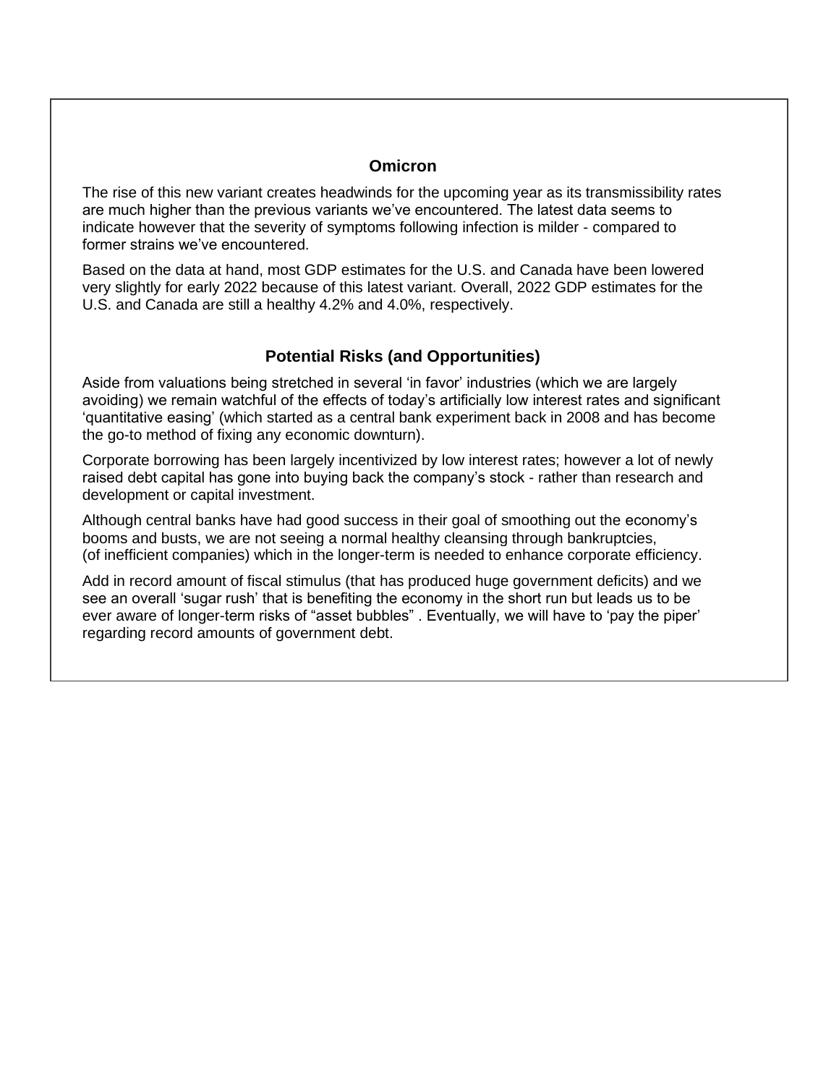#### **Omicron**

The rise of this new variant creates headwinds for the upcoming year as its transmissibility rates are much higher than the previous variants we've encountered. The latest data seems to indicate however that the severity of symptoms following infection is milder - compared to former strains we've encountered.

Based on the data at hand, most GDP estimates for the U.S. and Canada have been lowered very slightly for early 2022 because of this latest variant. Overall, 2022 GDP estimates for the U.S. and Canada are still a healthy 4.2% and 4.0%, respectively.

## **Potential Risks (and Opportunities)**

Aside from valuations being stretched in several 'in favor' industries (which we are largely avoiding) we remain watchful of the effects of today's artificially low interest rates and significant 'quantitative easing' (which started as a central bank experiment back in 2008 and has become the go-to method of fixing any economic downturn).

Corporate borrowing has been largely incentivized by low interest rates; however a lot of newly raised debt capital has gone into buying back the company's stock - rather than research and development or capital investment.

Although central banks have had good success in their goal of smoothing out the economy's booms and busts, we are not seeing a normal healthy cleansing through bankruptcies, (of inefficient companies) which in the longer-term is needed to enhance corporate efficiency.

Add in record amount of fiscal stimulus (that has produced huge government deficits) and we see an overall 'sugar rush' that is benefiting the economy in the short run but leads us to be ever aware of longer-term risks of "asset bubbles" . Eventually, we will have to 'pay the piper' regarding record amounts of government debt.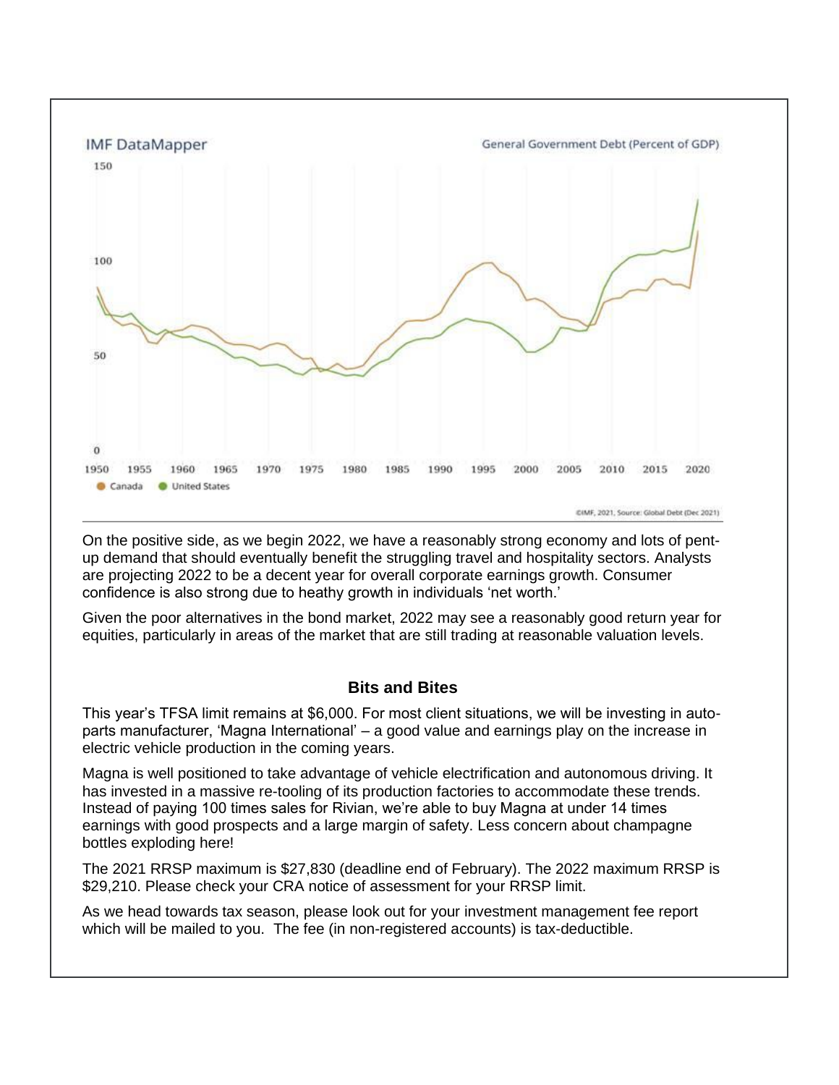

On the positive side, as we begin 2022, we have a reasonably strong economy and lots of pentup demand that should eventually benefit the struggling travel and hospitality sectors. Analysts are projecting 2022 to be a decent year for overall corporate earnings growth. Consumer confidence is also strong due to heathy growth in individuals 'net worth.'

Given the poor alternatives in the bond market, 2022 may see a reasonably good return year for equities, particularly in areas of the market that are still trading at reasonable valuation levels.

### **Bits and Bites**

This year's TFSA limit remains at \$6,000. For most client situations, we will be investing in autoparts manufacturer, 'Magna International' – a good value and earnings play on the increase in electric vehicle production in the coming years.

Magna is well positioned to take advantage of vehicle electrification and autonomous driving. It has invested in a massive re-tooling of its production factories to accommodate these trends. Instead of paying 100 times sales for Rivian, we're able to buy Magna at under 14 times earnings with good prospects and a large margin of safety. Less concern about champagne bottles exploding here!

The 2021 RRSP maximum is \$27,830 (deadline end of February). The 2022 maximum RRSP is \$29,210. Please check your CRA notice of assessment for your RRSP limit.

As we head towards tax season, please look out for your investment management fee report which will be mailed to you. The fee (in non-registered accounts) is tax-deductible.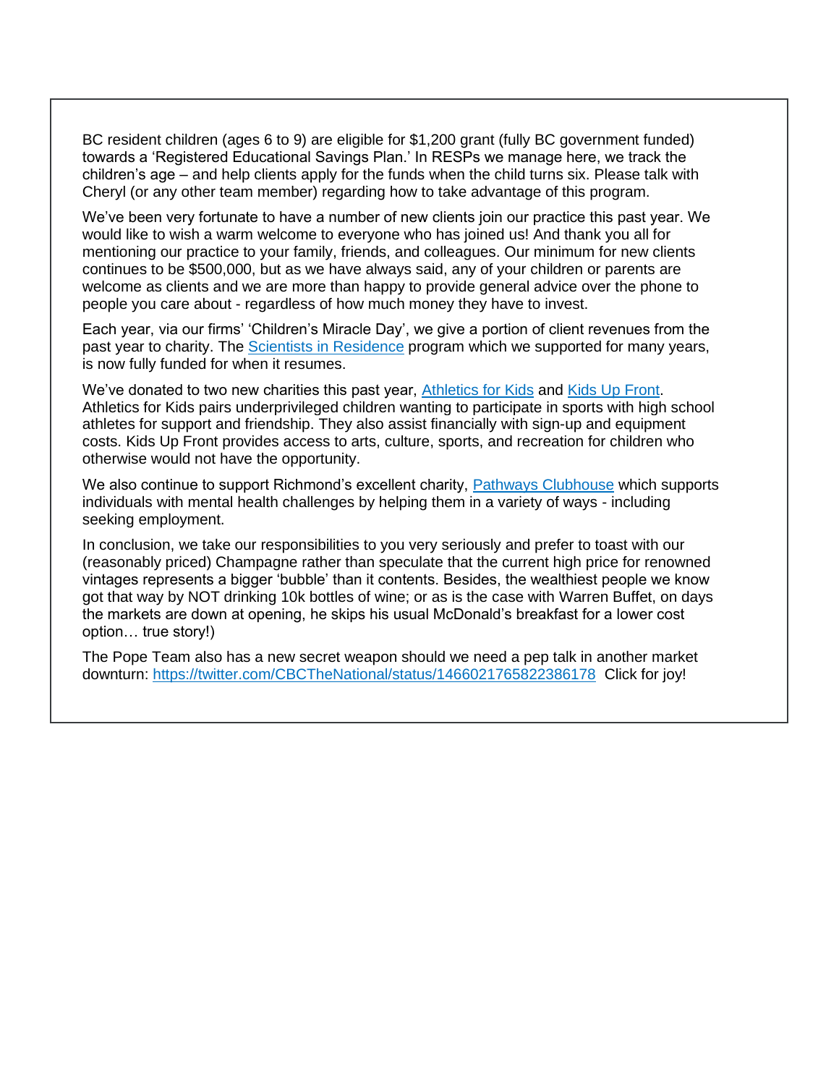BC resident children (ages 6 to 9) are eligible for \$1,200 grant (fully BC government funded) towards a 'Registered Educational Savings Plan.' In RESPs we manage here, we track the children's age – and help clients apply for the funds when the child turns six. Please talk with Cheryl (or any other team member) regarding how to take advantage of this program.

We've been very fortunate to have a number of new clients join our practice this past year. We would like to wish a warm welcome to everyone who has joined us! And thank you all for mentioning our practice to your family, friends, and colleagues. Our minimum for new clients continues to be \$500,000, but as we have always said, any of your children or parents are welcome as clients and we are more than happy to provide general advice over the phone to people you care about - regardless of how much money they have to invest.

Each year, via our firms' 'Children's Miracle Day', we give a portion of client revenues from the past year to charity. The [Scientists in Residence](https://scientistinresidence.ca/) program which we supported for many years, is now fully funded for when it resumes.

We've donated to two new charities this past year, [Athletics for Kids](https://athletesforkids.org/) and [Kids Up Front.](https://kidsupfrontvancouver.com/) Athletics for Kids pairs underprivileged children wanting to participate in sports with high school athletes for support and friendship. They also assist financially with sign-up and equipment costs. Kids Up Front provides access to arts, culture, sports, and recreation for children who otherwise would not have the opportunity.

We also continue to support Richmond's excellent charity, [Pathways Clubhouse](https://pathwaysclubhouse.com/) which supports individuals with mental health challenges by helping them in a variety of ways - including seeking employment.

In conclusion, we take our responsibilities to you very seriously and prefer to toast with our (reasonably priced) Champagne rather than speculate that the current high price for renowned vintages represents a bigger 'bubble' than it contents. Besides, the wealthiest people we know got that way by NOT drinking 10k bottles of wine; or as is the case with Warren Buffet, on days the markets are down at opening, he skips his usual McDonald's breakfast for a lower cost option… true story!)

The Pope Team also has a new secret weapon should we need a pep talk in another market downturn:<https://twitter.com/CBCTheNational/status/1466021765822386178> Click for joy!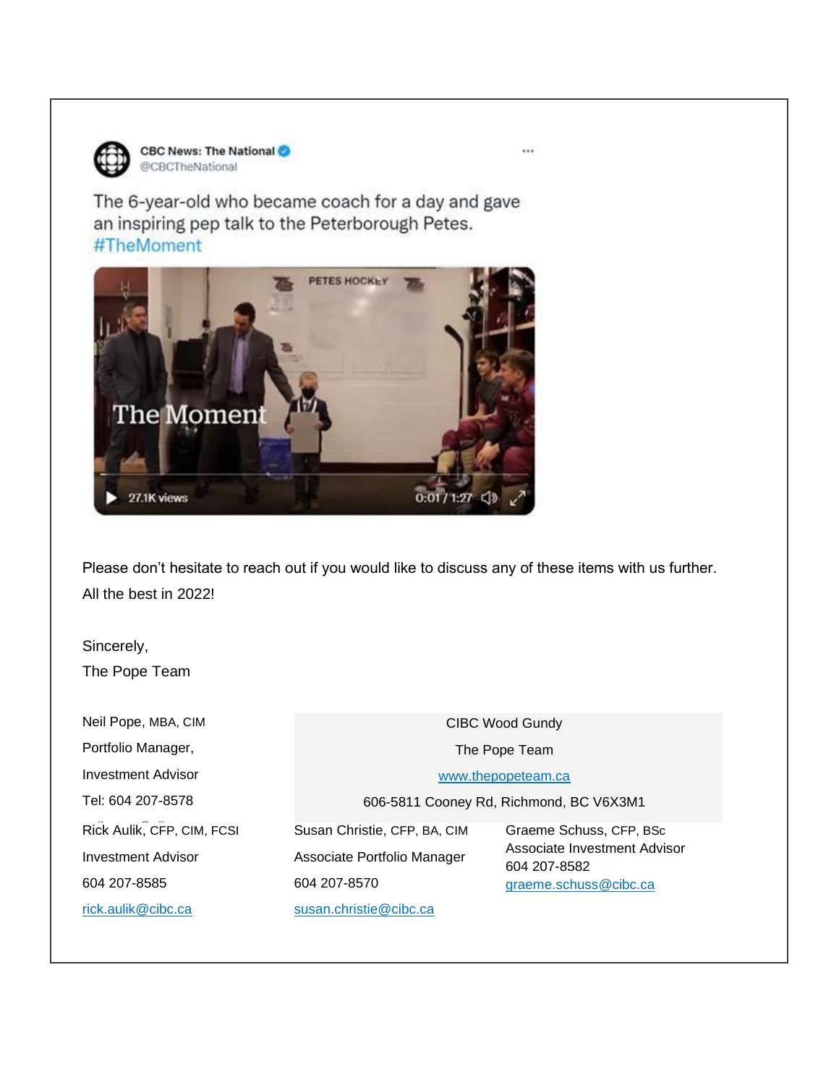

The 6-year-old who became coach for a day and gave an inspiring pep talk to the Peterborough Petes. #TheMoment



Please don't hesitate to reach out if you would like to discuss any of these items with us further. All the best in 2022!

Sincerely, The Pope Team

Neil Pope, MBA, CIM Portfolio Manager, Investment Advisor Tel: 604 207-8578 Rick Aulik, CFP, CIM, FCSI CIBC Wood Gundy The Pope Team [www.thepopeteam.ca](http://www.thepopeteam.ca/) 606-5811 Cooney Rd, Richmond, BC V6X3M1 Investment Advisor 604 207-8585 [rick.aulik@cibc.ca](mailto:rick.aulik@cibc.ca) Susan Christie, CFP, BA, CIM Associate Portfolio Manager 604 207-8570 [susan.christie@cibc.ca](mailto:susan.christie@cibc.ca) Graeme Schuss, CFP, BSc Associate Investment Advisor 604 207-8582 [graeme.schuss@cibc.ca](mailto:graeme.schuss@cibc.ca)

...